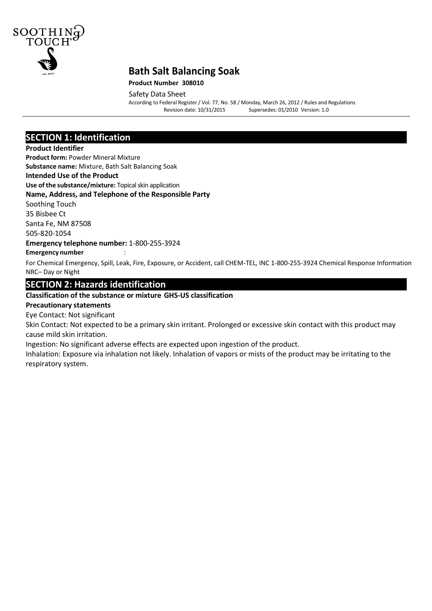

#### **Product Number 308010**

Safety Data Sheet

According to Federal Register/ Vol. 77, No. 58 / Monday, March 26, 2012 / Rules and Regulations Supersedes: 01/2010 Version: 1.0

### **SECTION 1: Identification**

#### **Product Identifier**

**Product form:** Powder Mineral Mixture

**Substance name:** Mixture, Bath Salt Balancing Soak

#### **Intended Use of the Product**

**Use of the substance/mixture:** Topical skin application

#### **Name, Address, and Telephone of the Responsible Party**

Soothing Touch 35 Bisbee Ct Santa Fe, NM 87508 505-820-1054

**Emergency telephone number:** 1-800-255-3924 **Emergency number** :

For Chemical Emergency, Spill, Leak, Fire, Exposure, or Accident, call CHEM-TEL, INC 1-800-255-3924 Chemical Response Information NRC– Day or Night

## **SECTION 2: Hazards identification**

#### **Classification of the substance or mixture GHS-US classification**

#### **Precautionary statements**

Eye Contact: Not significant

Skin Contact: Not expected to be a primary skin irritant. Prolonged or excessive skin contact with this product may cause mild skin irritation.

Ingestion: No significant adverse effects are expected upon ingestion of the product.

Inhalation: Exposure via inhalation not likely. Inhalation of vapors or mists of the product may be irritating to the respiratory system.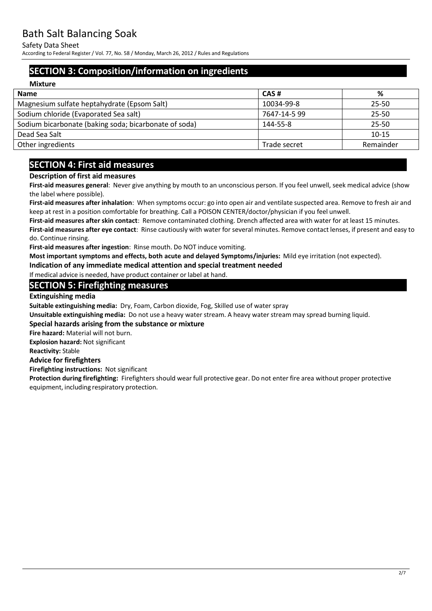Safety Data Sheet

According to Federal Register/ Vol. 77, No. 58 / Monday, March 26, 2012 / Rules and Regulations

## **SECTION 3: Composition/information on ingredients**

| <b>Mixture</b>                                        |              |           |
|-------------------------------------------------------|--------------|-----------|
| <b>Name</b>                                           | CAS#         | %         |
| Magnesium sulfate heptahydrate (Epsom Salt)           | 10034-99-8   | $25 - 50$ |
| Sodium chloride (Evaporated Sea salt)                 | 7647-14-5 99 | $25 - 50$ |
| Sodium bicarbonate (baking soda; bicarbonate of soda) | 144-55-8     | $25 - 50$ |
| Dead Sea Salt                                         |              | $10 - 15$ |
| Other ingredients                                     | Trade secret | Remainder |

## **SECTION 4: First aid measures**

#### **Description of first aid measures**

**First-aid measures general**: Never give anything by mouth to an unconscious person. If you feel unwell, seek medical advice (show the label where possible).

**First-aid measures after inhalation**: When symptoms occur: go into open air and ventilate suspected area. Remove to fresh air and keep at rest in a position comfortable for breathing. Call a POISON CENTER/doctor/physician if you feel unwell.

**First-aid measures after skin contact**: Remove contaminated clothing. Drench affected area with water for at least 15 minutes.

**First-aid measures after eye contact**: Rinse cautiously with water for several minutes. Remove contact lenses, if present and easy to do. Continue rinsing.

**First-aid measures after ingestion**: Rinse mouth. Do NOT induce vomiting.

**Most important symptoms and effects, both acute and delayed Symptoms/injuries:** Mild eye irritation (not expected).

**Indication of any immediate medical attention and special treatment needed** 

If medical advice is needed, have product container or label at hand.

## **SECTION 5: Firefighting measures**

#### **Extinguishing media**

**Suitable extinguishing media:** Dry, Foam, Carbon dioxide, Fog, Skilled use of water spray

**Unsuitable extinguishing media:** Do not use a heavy water stream. A heavy water stream may spread burning liquid.

#### **Special hazards arising from the substance or mixture**

**Fire hazard:** Material will not burn.

**Explosion hazard:** Not significant

**Reactivity:** Stable

#### **Advice for firefighters**

**Firefighting instructions:** Not significant

**Protection during firefighting:** Firefighters should wear full protective gear. Do not enter fire area without proper protective equipment, including respiratory protection.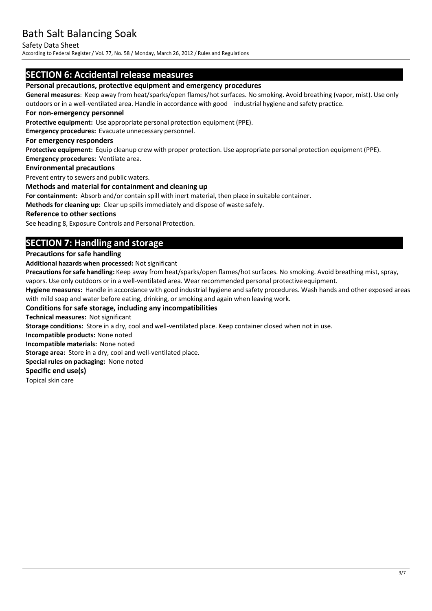Safety Data Sheet

According to Federal Register/ Vol. 77, No. 58 / Monday, March 26, 2012 / Rules and Regulations

## **SECTION 6: Accidental release measures**

#### **Personal precautions, protective equipment and emergency procedures**

**General measures**: Keep away from heat/sparks/open flames/hot surfaces. No smoking. Avoid breathing (vapor, mist). Use only outdoors or in a well-ventilated area. Handle in accordance with good industrial hygiene and safety practice.

#### **For non-emergency personnel**

**Protective equipment:** Use appropriate personal protection equipment (PPE).

**Emergency procedures:** Evacuate unnecessary personnel.

#### **For emergency responders**

**Protective equipment:** Equip cleanup crew with proper protection. Use appropriate personal protection equipment (PPE). **Emergency procedures:** Ventilate area.

#### **Environmental precautions**

Prevent entry to sewers and public waters.

#### **Methods and material for containment and cleaning up**

**For containment:** Absorb and/or contain spill with inert material, then place in suitable container.

**Methods for cleaning up:** Clear up spillsimmediately and dispose of waste safely.

#### **Reference to other sections**

See heading 8, Exposure Controls and Personal Protection.

## **SECTION 7: Handling and storage**

#### **Precautions for safe handling**

**Additional hazards when processed:** Not significant

Precautions for safe handling: Keep away from heat/sparks/open flames/hot surfaces. No smoking. Avoid breathing mist, spray, vapors. Use only outdoors or in a well-ventilated area. Wear recommended personal protective equipment.

**Hygiene measures:** Handle in accordance with good industrial hygiene and safety procedures. Wash hands and other exposed areas with mild soap and water before eating, drinking, or smoking and again when leaving work.

#### **Conditions for safe storage, including any incompatibilities**

**Technical measures:** Not significant

**Storage conditions:** Store in a dry, cool and well-ventilated place. Keep container closed when not in use.

**Incompatible products:** None noted

**Incompatible materials:** None noted

**Storage area:** Store in a dry, cool and well-ventilated place.

**Special rules on packaging:** None noted

#### **Specific end use(s)**

Topical skin care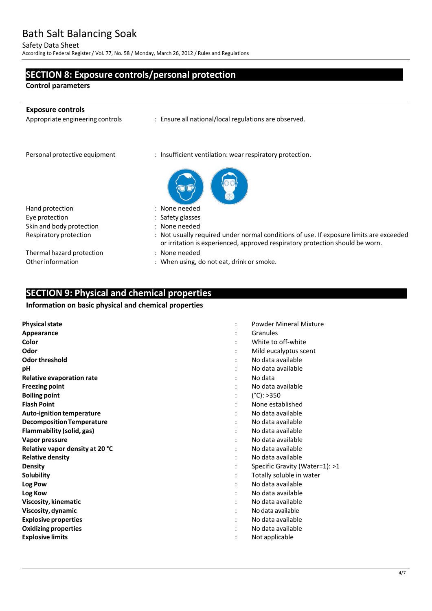Safety Data Sheet

According to Federal Register/ Vol. 77, No. 58 / Monday, March 26, 2012 / Rules and Regulations

## **SECTION 8: Exposure controls/personal protection**

**Control parameters**

j.

| <b>Exposure controls</b><br>Appropriate engineering controls | : Ensure all national/local regulations are observed.                                                                                                                   |
|--------------------------------------------------------------|-------------------------------------------------------------------------------------------------------------------------------------------------------------------------|
| Personal protective equipment                                | : Insufficient ventilation: wear respiratory protection.                                                                                                                |
|                                                              |                                                                                                                                                                         |
| Hand protection                                              | : None needed                                                                                                                                                           |
| Eye protection                                               | : Safety glasses                                                                                                                                                        |
| Skin and body protection                                     | : None needed                                                                                                                                                           |
| Respiratory protection                                       | : Not usually required under normal conditions of use. If exposure limits are exceeded<br>or irritation is experienced, approved respiratory protection should be worn. |
| Thermal hazard protection                                    | : None needed                                                                                                                                                           |
| Other information                                            | : When using, do not eat, drink or smoke.                                                                                                                               |
|                                                              |                                                                                                                                                                         |

## **SECTION 9: Physical and chemical properties**

#### **Information on basic physical and chemical properties**

| <b>Physical state</b>            | <b>Powder Mineral Mixture</b>  |
|----------------------------------|--------------------------------|
| Appearance                       | Granules                       |
| Color                            | White to off-white             |
| Odor                             | Mild eucalyptus scent          |
| Odor threshold                   | No data available              |
| рH                               | No data available              |
| Relative evaporation rate        | No data                        |
| <b>Freezing point</b>            | No data available              |
| <b>Boiling point</b>             | $(^{\circ}C):>350$             |
| <b>Flash Point</b>               | None established               |
| Auto-ignition temperature        | No data available              |
| <b>Decomposition Temperature</b> | No data available              |
| Flammability (solid, gas)        | No data available              |
| Vapor pressure                   | No data available              |
| Relative vapor density at 20 °C  | No data available              |
| <b>Relative density</b>          | No data available              |
| <b>Density</b>                   | Specific Gravity (Water=1): >1 |
| Solubility                       | Totally soluble in water       |
| Log Pow                          | No data available              |
| Log Kow                          | No data available              |
| Viscosity, kinematic             | No data available              |
| Viscosity, dynamic               | No data available              |
| <b>Explosive properties</b>      | No data available              |
| <b>Oxidizing properties</b>      | No data available              |
| <b>Explosive limits</b>          | Not applicable                 |
|                                  |                                |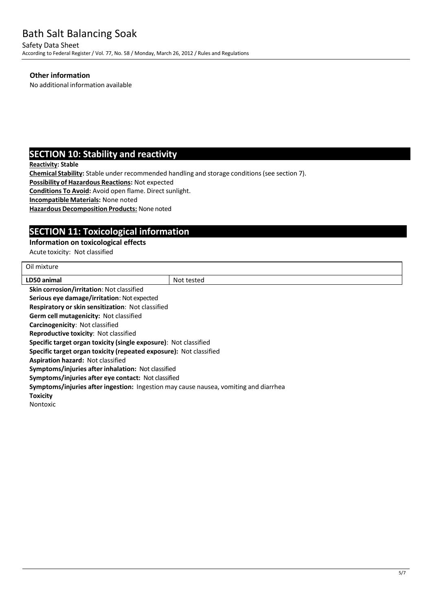Safety Data Sheet According to Federal Register/ Vol. 77, No. 58 / Monday, March 26, 2012 / Rules and Regulations

#### **Other information**

No additional information available

## **SECTION 10: Stability and reactivity**

**Reactivity: Stable**

**Chemical Stability:** Stable under recommended handling and storage conditions(see section 7).

**Possibility of Hazardous Reactions:** Not expected

**Conditions To Avoid:** Avoid open flame. Direct sunlight.

**IncompatibleMaterials:** None noted

**Hazardous Decomposition Products:** None noted

## **SECTION 11: Toxicological information**

#### **Information on toxicological effects**

Acute toxicity: Not classified

| Oil mixture                                                                          |            |  |  |
|--------------------------------------------------------------------------------------|------------|--|--|
| LD50 animal                                                                          | Not tested |  |  |
| <b>Skin corrosion/irritation: Not classified</b>                                     |            |  |  |
| Serious eye damage/irritation: Not expected                                          |            |  |  |
| Respiratory or skin sensitization: Not classified                                    |            |  |  |
| Germ cell mutagenicity: Not classified                                               |            |  |  |
| <b>Carcinogenicity: Not classified</b>                                               |            |  |  |
| Reproductive toxicity: Not classified                                                |            |  |  |
| <b>Specific target organ toxicity (single exposure):</b> Not classified              |            |  |  |
| Specific target organ toxicity (repeated exposure): Not classified                   |            |  |  |
| <b>Aspiration hazard: Not classified</b>                                             |            |  |  |
| <b>Symptoms/injuries after inhalation: Not classified</b>                            |            |  |  |
| Symptoms/injuries after eye contact: Not classified                                  |            |  |  |
| Symptoms/injuries after ingestion: Ingestion may cause nausea, vomiting and diarrhea |            |  |  |
| <b>Toxicity</b>                                                                      |            |  |  |
| <b>Nontoxic</b>                                                                      |            |  |  |
|                                                                                      |            |  |  |
|                                                                                      |            |  |  |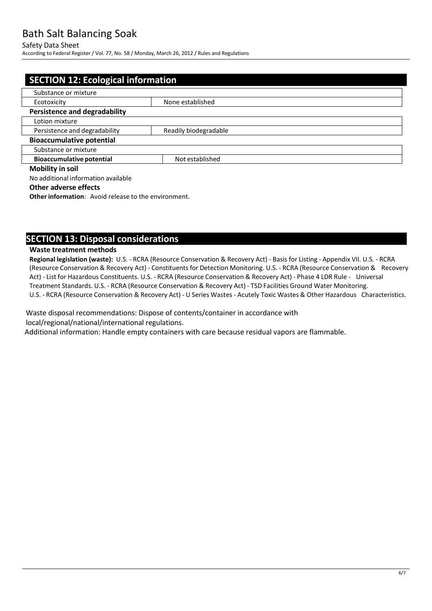#### Safety Data Sheet

According to Federal Register/ Vol. 77, No. 58 / Monday, March 26, 2012 / Rules and Regulations

| <b>SECTION 12: Ecological information</b> |                       |  |
|-------------------------------------------|-----------------------|--|
| Substance or mixture                      |                       |  |
| Ecotoxicity                               | None established      |  |
| <b>Persistence and degradability</b>      |                       |  |
| Lotion mixture                            |                       |  |
| Persistence and degradability             | Readily biodegradable |  |
| <b>Bioaccumulative potential</b>          |                       |  |
| Substance or mixture                      |                       |  |
| <b>Bioaccumulative potential</b>          | Not established       |  |
| <b>Mobility in soil</b>                   |                       |  |
| No additional information available       |                       |  |

#### **Other adverse effects**

**Other information:** Avoid release to the environment.

## **SECTION 13: Disposal considerations**

#### **Waste treatment methods**

**Regional legislation (waste):** U.S. - RCRA (Resource Conservation & Recovery Act) - Basis for Listing - Appendix VII. U.S. - RCRA (Resource Conservation & Recovery Act) - Constituentsfor Detection Monitoring. U.S. - RCRA (Resource Conservation & Recovery Act) - List for Hazardous Constituents. U.S. - RCRA (Resource Conservation & Recovery Act) - Phase 4 LDR Rule - Universal Treatment Standards. U.S. - RCRA (Resource Conservation & Recovery Act) - TSD Facilities Ground Water Monitoring. U.S. - RCRA (Resource Conservation & Recovery Act) - U Series Wastes - Acutely Toxic Wastes & Other Hazardous Characteristics.

Waste disposal recommendations: Dispose of contents/container in accordance with local/regional/national/international regulations.

Additional information: Handle empty containers with care because residual vapors are flammable.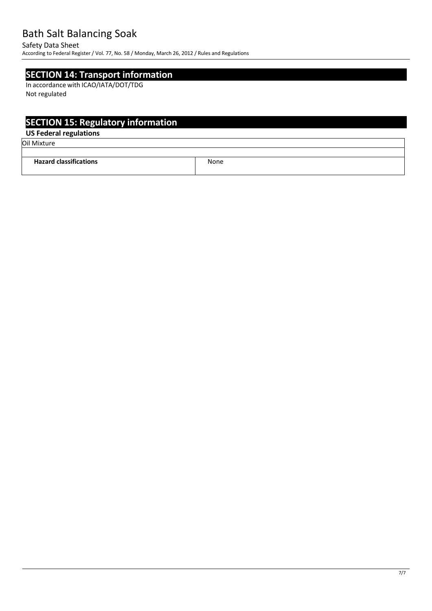Safety Data Sheet

According to Federal Register/ Vol. 77, No. 58 / Monday, March 26, 2012 / Rules and Regulations

## **SECTION 14: Transport information**

In accordance with ICAO/IATA/DOT/TDG Not regulated

# **SECTION 15: Regulatory information**

## **US Federal regulations**

Oil Mixture

| --<br>Jazard<br>$-1 - - - - -$<br>ю<br>. | None<br>____ |
|------------------------------------------|--------------|
|                                          |              |